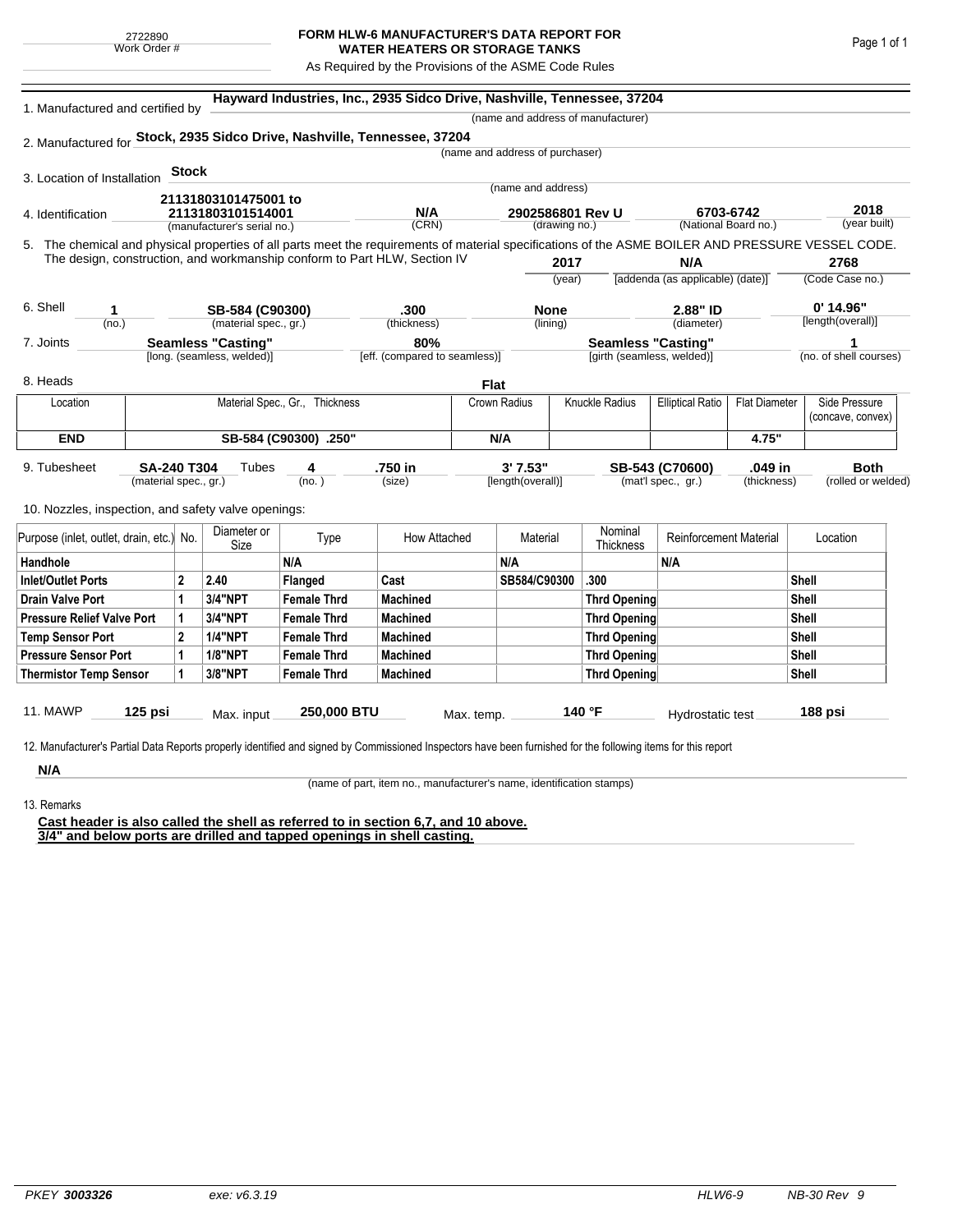## **FORM HLW-6 MANUFACTURER'S DATA REPORT FOR WATER HEATERS OR STORAGE TANKS**

As Required by the Provisions of the ASME Code Rules

| 1. Manufactured and certified by                                                                                                                   |                                                                           |                                  |                             |                                | Hayward Industries, Inc., 2935 Sidco Drive, Nashville, Tennessee, 37204 |              |                                 |                                    |                                         |                      |                        |  |
|----------------------------------------------------------------------------------------------------------------------------------------------------|---------------------------------------------------------------------------|----------------------------------|-----------------------------|--------------------------------|-------------------------------------------------------------------------|--------------|---------------------------------|------------------------------------|-----------------------------------------|----------------------|------------------------|--|
|                                                                                                                                                    |                                                                           |                                  |                             |                                |                                                                         |              |                                 | (name and address of manufacturer) |                                         |                      |                        |  |
| 2. Manufactured for Stock, 2935 Sidco Drive, Nashville, Tennessee, 37204                                                                           |                                                                           |                                  |                             |                                |                                                                         |              |                                 |                                    |                                         |                      |                        |  |
|                                                                                                                                                    |                                                                           |                                  |                             |                                |                                                                         |              | (name and address of purchaser) |                                    |                                         |                      |                        |  |
| 3. Location of Installation                                                                                                                        |                                                                           | <b>Stock</b>                     |                             |                                |                                                                         |              |                                 |                                    |                                         |                      |                        |  |
|                                                                                                                                                    |                                                                           |                                  | 21131803101475001 to        |                                |                                                                         |              | (name and address)              |                                    |                                         |                      |                        |  |
| 4. Identification                                                                                                                                  |                                                                           | 21131803101514001                |                             |                                | N/A                                                                     |              | 2902586801 Rev U                |                                    | 6703-6742                               |                      | 2018                   |  |
|                                                                                                                                                    |                                                                           |                                  | (manufacturer's serial no.) |                                | (CRN)                                                                   |              | (drawing no.)                   | (National Board no.)               |                                         |                      | (year built)           |  |
| 5. The chemical and physical properties of all parts meet the requirements of material specifications of the ASME BOILER AND PRESSURE VESSEL CODE. |                                                                           |                                  |                             |                                |                                                                         |              |                                 |                                    |                                         |                      |                        |  |
|                                                                                                                                                    | The design, construction, and workmanship conform to Part HLW, Section IV |                                  |                             |                                |                                                                         |              | 2017                            |                                    | N/A<br>[addenda (as applicable) (date)] |                      | 2768                   |  |
|                                                                                                                                                    |                                                                           |                                  |                             |                                |                                                                         |              | (year)                          |                                    |                                         |                      | (Code Case no.)        |  |
| 6. Shell<br>1                                                                                                                                      |                                                                           |                                  | SB-584 (C90300)             |                                | .300                                                                    |              | <b>None</b>                     |                                    | 2.88" ID                                |                      | $0'$ 14.96"            |  |
| (no.)                                                                                                                                              |                                                                           |                                  | (material spec., gr.)       |                                | (thickness)                                                             |              | (lining)                        |                                    | (diameter)                              |                      | [length(overall)]      |  |
| 7. Joints                                                                                                                                          |                                                                           |                                  | <b>Seamless "Casting"</b>   |                                | 80%                                                                     |              |                                 | <b>Seamless "Casting"</b>          |                                         |                      | 1                      |  |
|                                                                                                                                                    |                                                                           |                                  | [long. (seamless, welded)]  |                                | [eff. (compared to seamless)]                                           |              |                                 | [girth (seamless, welded)]         |                                         |                      | (no. of shell courses) |  |
| 8. Heads                                                                                                                                           |                                                                           |                                  |                             |                                |                                                                         | <b>Flat</b>  |                                 |                                    |                                         |                      |                        |  |
| Location                                                                                                                                           |                                                                           |                                  |                             | Material Spec., Gr., Thickness |                                                                         | Crown Radius |                                 | <b>Knuckle Radius</b>              | <b>Elliptical Ratio</b>                 | <b>Flat Diameter</b> | Side Pressure          |  |
|                                                                                                                                                    |                                                                           |                                  |                             |                                |                                                                         |              |                                 |                                    |                                         |                      | (concave, convex)      |  |
| <b>END</b>                                                                                                                                         | SB-584 (C90300) .250"                                                     |                                  |                             |                                |                                                                         | N/A          |                                 |                                    |                                         | 4.75"                |                        |  |
| 9. Tubesheet                                                                                                                                       |                                                                           | <b>SA-240 T304</b><br>Tubes<br>4 |                             |                                | .750 in                                                                 |              | 3'7.53"                         |                                    | SB-543 (C70600)                         | .049 in              | <b>Both</b>            |  |
|                                                                                                                                                    | (material spec., gr.)                                                     |                                  | (no. )                      |                                | (size)                                                                  |              | [length(overall)]               |                                    | (mat'l spec., gr.)<br>(thickness)       |                      | (rolled or welded)     |  |
|                                                                                                                                                    |                                                                           |                                  |                             |                                |                                                                         |              |                                 |                                    |                                         |                      |                        |  |
| 10. Nozzles, inspection, and safety valve openings:                                                                                                |                                                                           |                                  |                             |                                |                                                                         |              |                                 |                                    |                                         |                      |                        |  |
| Purpose (inlet, outlet, drain, etc.) No.                                                                                                           |                                                                           |                                  | Diameter or<br>Size         | Type                           | How Attached                                                            |              | Material                        | Nominal<br><b>Thickness</b>        | <b>Reinforcement Material</b>           |                      | Location               |  |
| Handhole                                                                                                                                           |                                                                           |                                  |                             | N/A                            |                                                                         | N/A          |                                 |                                    | N/A                                     |                      |                        |  |
| <b>Inlet/Outlet Ports</b>                                                                                                                          |                                                                           | $\mathbf{2}$                     | 2.40                        | Flanged                        | Cast                                                                    |              | SB584/C90300                    | .300                               |                                         |                      | <b>Shell</b>           |  |
| <b>Drain Valve Port</b>                                                                                                                            |                                                                           | 1                                | <b>3/4"NPT</b>              | <b>Female Thrd</b>             | <b>Machined</b>                                                         |              |                                 | <b>Thrd Opening</b>                |                                         |                      | Shell                  |  |
| <b>Pressure Relief Valve Port</b>                                                                                                                  |                                                                           | 1                                | <b>3/4"NPT</b>              | <b>Female Thrd</b>             | <b>Machined</b>                                                         |              |                                 | <b>Thrd Opening</b>                |                                         |                      | Shell                  |  |
| <b>Temp Sensor Port</b>                                                                                                                            |                                                                           | $\mathbf 2$                      | <b>1/4"NPT</b>              | <b>Female Thrd</b>             | <b>Machined</b>                                                         |              |                                 | <b>Thrd Opening</b>                |                                         |                      | Shell                  |  |
| <b>Pressure Sensor Port</b>                                                                                                                        |                                                                           | 1                                | <b>1/8"NPT</b>              | <b>Female Thrd</b>             | <b>Machined</b>                                                         |              |                                 | <b>Thrd Opening</b>                |                                         |                      | <b>Shell</b>           |  |
| <b>Thermistor Temp Sensor</b>                                                                                                                      |                                                                           | 1                                | 3/8"NPT                     | <b>Female Thrd</b>             | <b>Machined</b>                                                         |              |                                 | <b>Thrd Opening</b>                |                                         |                      | Shell                  |  |
|                                                                                                                                                    |                                                                           |                                  |                             |                                |                                                                         |              |                                 |                                    |                                         |                      |                        |  |
| 11. MAWP                                                                                                                                           | 125 psi                                                                   |                                  | Max. input                  | 250,000 BTU                    |                                                                         | Max. temp.   |                                 | 140 °F                             | Hydrostatic test                        |                      | 188 psi                |  |

**N/A** 13. Remarks

(name of part, item no., manufacturer's name, identification stamps)

**Cast header is also called the shell as referred to in section 6,7, and 10 above. 3/4" and below ports are drilled and tapped openings in shell casting.**

Page 1 of 1